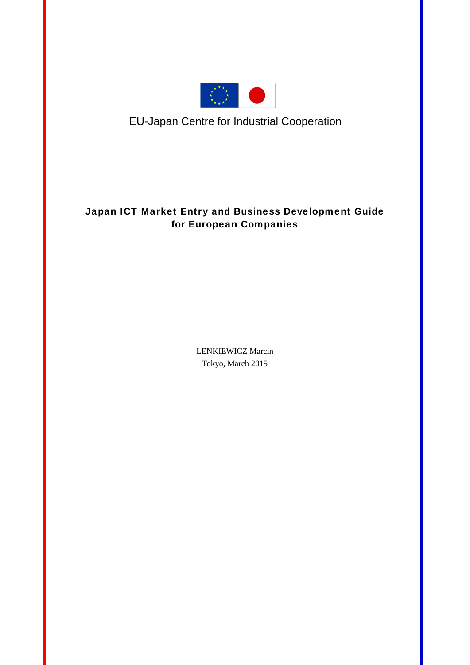

## EU-Japan Centre for Industrial Cooperation

## Japan ICT Market Entry and Business Development Guide for European Companies

LENKIEWICZ Marcin Tokyo, March 2015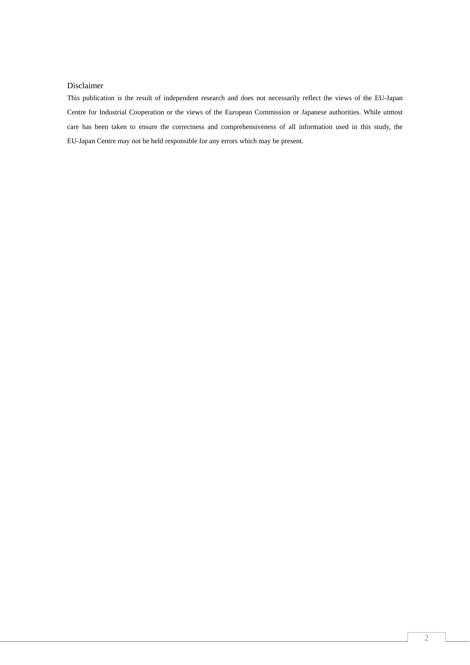#### Disclaimer

This publication is the result of independent research and does not necessarily reflect the views of the EU-Japan Centre for Industrial Cooperation or the views of the European Commission or Japanese authorities. While utmost care has been taken to ensure the correctness and comprehensiveness of all information used in this study, the EU-Japan Centre may not be held responsible for any errors which may be present.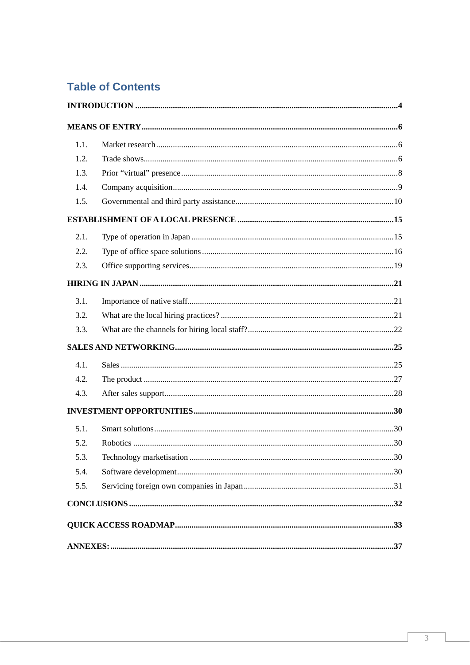## **Table of Contents**

| 1.1. |  |  |  |  |
|------|--|--|--|--|
| 1.2. |  |  |  |  |
| 1.3. |  |  |  |  |
| 1.4. |  |  |  |  |
| 1.5. |  |  |  |  |
|      |  |  |  |  |
| 2.1. |  |  |  |  |
| 2.2. |  |  |  |  |
| 2.3. |  |  |  |  |
|      |  |  |  |  |
| 3.1. |  |  |  |  |
| 3.2. |  |  |  |  |
| 3.3. |  |  |  |  |
|      |  |  |  |  |
| 4.1. |  |  |  |  |
| 4.2. |  |  |  |  |
| 4.3. |  |  |  |  |
|      |  |  |  |  |
| 5.1. |  |  |  |  |
| 5.2. |  |  |  |  |
| 5.3. |  |  |  |  |
| 5.4. |  |  |  |  |
| 5.5. |  |  |  |  |
|      |  |  |  |  |
|      |  |  |  |  |
|      |  |  |  |  |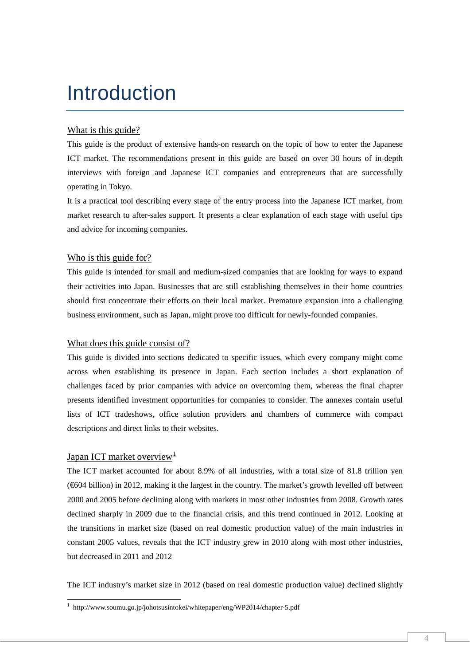# <span id="page-3-0"></span>Introduction

## What is this guide?

This guide is the product of extensive hands-on research on the topic of how to enter the Japanese ICT market. The recommendations present in this guide are based on over 30 hours of in-depth interviews with foreign and Japanese ICT companies and entrepreneurs that are successfully operating in Tokyo.

It is a practical tool describing every stage of the entry process into the Japanese ICT market, from market research to after-sales support. It presents a clear explanation of each stage with useful tips and advice for incoming companies.

#### Who is this guide for?

This guide is intended for small and medium-sized companies that are looking for ways to expand their activities into Japan. Businesses that are still establishing themselves in their home countries should first concentrate their efforts on their local market. Premature expansion into a challenging business environment, such as Japan, might prove too difficult for newly-founded companies.

### What does this guide consist of?

This guide is divided into sections dedicated to specific issues, which every company might come across when establishing its presence in Japan. Each section includes a short explanation of challenges faced by prior companies with advice on overcoming them, whereas the final chapter presents identified investment opportunities for companies to consider. The annexes contain useful lists of ICT tradeshows, office solution providers and chambers of commerce with compact descriptions and direct links to their websites.

### Japan ICT market overview $\frac{1}{2}$  $\frac{1}{2}$  $\frac{1}{2}$

The ICT market accounted for about 8.9% of all industries, with a total size of 81.8 trillion yen (€604 billion) in 2012, making it the largest in the country. The market's growth levelled off between 2000 and 2005 before declining along with markets in most other industries from 2008. Growth rates declined sharply in 2009 due to the financial crisis, and this trend continued in 2012. Looking at the transitions in market size (based on real domestic production value) of the main industries in constant 2005 values, reveals that the ICT industry grew in 2010 along with most other industries, but decreased in 2011 and 2012

The ICT industry's market size in 2012 (based on real domestic production value) declined slightly

<span id="page-3-1"></span> **1** http://www.soumu.go.jp/johotsusintokei/whitepaper/eng/WP2014/chapter-5.pdf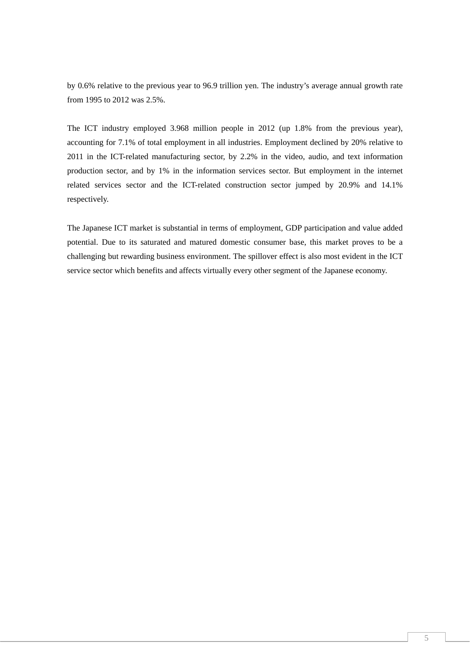by 0.6% relative to the previous year to 96.9 trillion yen. The industry's average annual growth rate from 1995 to 2012 was 2.5%.

The ICT industry employed 3.968 million people in 2012 (up 1.8% from the previous year), accounting for 7.1% of total employment in all industries. Employment declined by 20% relative to 2011 in the ICT-related manufacturing sector, by 2.2% in the video, audio, and text information production sector, and by 1% in the information services sector. But employment in the internet related services sector and the ICT-related construction sector jumped by 20.9% and 14.1% respectively.

The Japanese ICT market is substantial in terms of employment, GDP participation and value added potential. Due to its saturated and matured domestic consumer base, this market proves to be a challenging but rewarding business environment. The spillover effect is also most evident in the ICT service sector which benefits and affects virtually every other segment of the Japanese economy.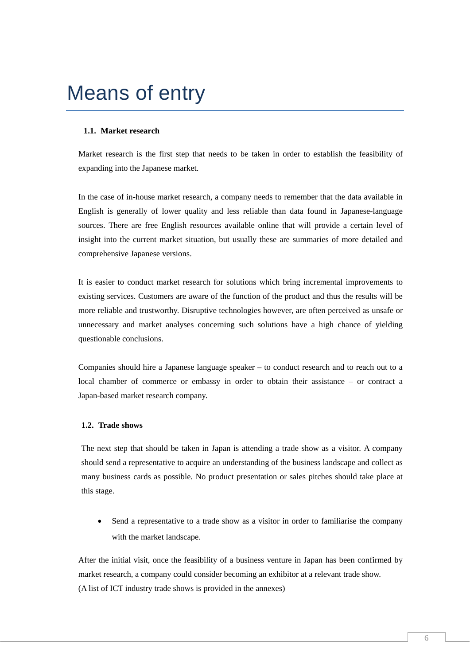## <span id="page-5-0"></span>Means of entry

#### **1.1. Market research**

Market research is the first step that needs to be taken in order to establish the feasibility of expanding into the Japanese market.

In the case of in-house market research, a company needs to remember that the data available in English is generally of lower quality and less reliable than data found in Japanese-language sources. There are free English resources available online that will provide a certain level of insight into the current market situation, but usually these are summaries of more detailed and comprehensive Japanese versions.

It is easier to conduct market research for solutions which bring incremental improvements to existing services. Customers are aware of the function of the product and thus the results will be more reliable and trustworthy. Disruptive technologies however, are often perceived as unsafe or unnecessary and market analyses concerning such solutions have a high chance of yielding questionable conclusions.

Companies should hire a Japanese language speaker – to conduct research and to reach out to a local chamber of commerce or embassy in order to obtain their assistance – or contract a Japan-based market research company.

#### **1.2. Trade shows**

The next step that should be taken in Japan is attending a trade show as a visitor. A company should send a representative to acquire an understanding of the business landscape and collect as many business cards as possible. No product presentation or sales pitches should take place at this stage.

• Send a representative to a trade show as a visitor in order to familiarise the company with the market landscape.

After the initial visit, once the feasibility of a business venture in Japan has been confirmed by market research, a company could consider becoming an exhibitor at a relevant trade show. (A list of ICT industry trade shows is provided in the annexes)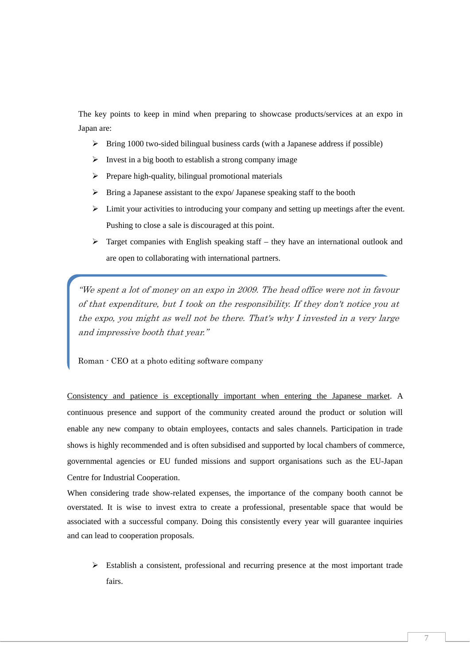The key points to keep in mind when preparing to showcase products/services at an expo in Japan are:

- $\triangleright$  Bring 1000 two-sided bilingual business cards (with a Japanese address if possible)
- $\triangleright$  Invest in a big booth to establish a strong company image
- $\triangleright$  Prepare high-quality, bilingual promotional materials
- $\triangleright$  Bring a Japanese assistant to the expo/ Japanese speaking staff to the booth
- $\triangleright$  Limit your activities to introducing your company and setting up meetings after the event. Pushing to close a sale is discouraged at this point.
- $\triangleright$  Target companies with English speaking staff they have an international outlook and are open to collaborating with international partners.

"We spent a lot of money on an expo in 2009. The head office were not in favour of that expenditure, but I took on the responsibility. If they don't notice you at the expo, you might as well not be there. That's why I invested in a very large and impressive booth that year."

Roman - CEO at a photo editing software company

Consistency and patience is exceptionally important when entering the Japanese market. A continuous presence and support of the community created around the product or solution will enable any new company to obtain employees, contacts and sales channels. Participation in trade shows is highly recommended and is often subsidised and supported by local chambers of commerce, governmental agencies or EU funded missions and support organisations such as the EU-Japan Centre for Industrial Cooperation.

When considering trade show-related expenses, the importance of the company booth cannot be overstated. It is wise to invest extra to create a professional, presentable space that would be associated with a successful company. Doing this consistently every year will guarantee inquiries and can lead to cooperation proposals.

 $\triangleright$  Establish a consistent, professional and recurring presence at the most important trade fairs.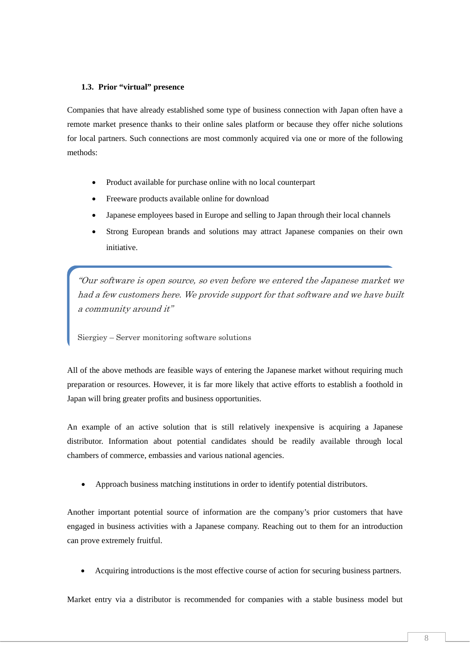#### <span id="page-7-0"></span>**1.3. Prior "virtual" presence**

Companies that have already established some type of business connection with Japan often have a remote market presence thanks to their online sales platform or because they offer niche solutions for local partners. Such connections are most commonly acquired via one or more of the following methods:

- Product available for purchase online with no local counterpart
- Freeware products available online for download
- Japanese employees based in Europe and selling to Japan through their local channels
- Strong European brands and solutions may attract Japanese companies on their own initiative.

"Our software is open source, so even before we entered the Japanese market we had a few customers here. We provide support for that software and we have built a community around it"

Siergiey – Server monitoring software solutions

All of the above methods are feasible ways of entering the Japanese market without requiring much preparation or resources. However, it is far more likely that active efforts to establish a foothold in Japan will bring greater profits and business opportunities.

An example of an active solution that is still relatively inexpensive is acquiring a Japanese distributor. Information about potential candidates should be readily available through local chambers of commerce, embassies and various national agencies.

• Approach business matching institutions in order to identify potential distributors.

Another important potential source of information are the company's prior customers that have engaged in business activities with a Japanese company. Reaching out to them for an introduction can prove extremely fruitful.

• Acquiring introductions is the most effective course of action for securing business partners.

Market entry via a distributor is recommended for companies with a stable business model but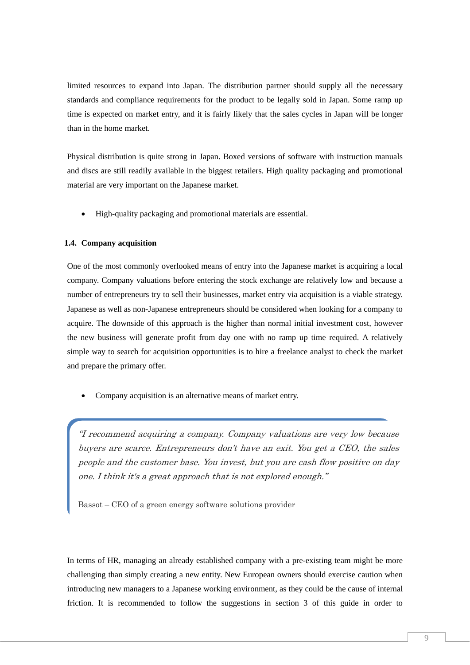<span id="page-8-0"></span>limited resources to expand into Japan. The distribution partner should supply all the necessary standards and compliance requirements for the product to be legally sold in Japan. Some ramp up time is expected on market entry, and it is fairly likely that the sales cycles in Japan will be longer than in the home market.

Physical distribution is quite strong in Japan. Boxed versions of software with instruction manuals and discs are still readily available in the biggest retailers. High quality packaging and promotional material are very important on the Japanese market.

• High-quality packaging and promotional materials are essential.

#### **1.4. Company acquisition**

One of the most commonly overlooked means of entry into the Japanese market is acquiring a local company. Company valuations before entering the stock exchange are relatively low and because a number of entrepreneurs try to sell their businesses, market entry via acquisition is a viable strategy. Japanese as well as non-Japanese entrepreneurs should be considered when looking for a company to acquire. The downside of this approach is the higher than normal initial investment cost, however the new business will generate profit from day one with no ramp up time required. A relatively simple way to search for acquisition opportunities is to hire a freelance analyst to check the market and prepare the primary offer.

• Company acquisition is an alternative means of market entry.

"I recommend acquiring a company. Company valuations are very low because buyers are scarce. Entrepreneurs don't have an exit. You get a CEO, the sales people and the customer base. You invest, but you are cash flow positive on day one. I think it's a great approach that is not explored enough."

Bassot – CEO of a green energy software solutions provider

In terms of HR, managing an already established company with a pre-existing team might be more challenging than simply creating a new entity. New European owners should exercise caution when introducing new managers to a Japanese working environment, as they could be the cause of internal friction. It is recommended to follow the suggestions in section 3 of this guide in order to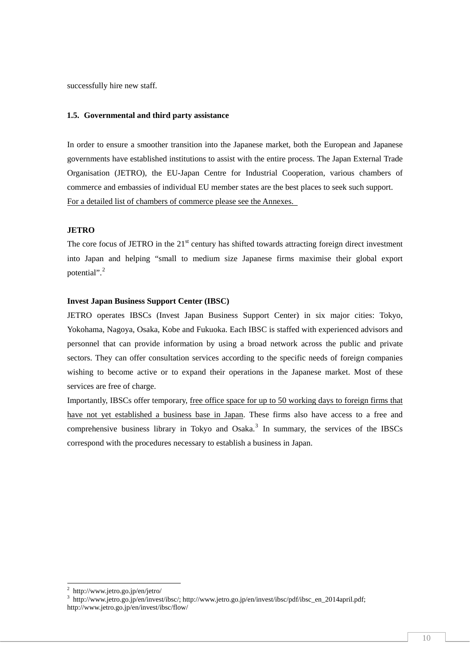<span id="page-9-0"></span>successfully hire new staff.

#### **1.5. Governmental and third party assistance**

In order to ensure a smoother transition into the Japanese market, both the European and Japanese governments have established institutions to assist with the entire process. The Japan External Trade Organisation (JETRO), the EU-Japan Centre for Industrial Cooperation, various chambers of commerce and embassies of individual EU member states are the best places to seek such support. For a detailed list of chambers of commerce please see the Annexes.

## **JETRO**

The core focus of JETRO in the  $21<sup>st</sup>$  century has shifted towards attracting foreign direct investment into Japan and helping "small to medium size Japanese firms maximise their global export potential".<sup>[2](#page-9-1)</sup>

#### **Invest Japan Business Support Center (IBSC)**

JETRO operates IBSCs (Invest Japan Business Support Center) in six major cities: Tokyo, Yokohama, Nagoya, Osaka, Kobe and Fukuoka. Each IBSC is staffed with experienced advisors and personnel that can provide information by using a broad network across the public and private sectors. They can offer consultation services according to the specific needs of foreign companies wishing to become active or to expand their operations in the Japanese market. Most of these services are free of charge.

Importantly, IBSCs offer temporary, free office space for up to 50 working days to foreign firms that have not yet established a business base in Japan. These firms also have access to a free and comprehensive business library in Tokyo and Osaka. $3$  In summary, the services of the IBSCs correspond with the procedures necessary to establish a business in Japan.

-

<sup>2</sup> http://www.jetro.go.jp/en/jetro/

<span id="page-9-2"></span><span id="page-9-1"></span><sup>3</sup> http://www.jetro.go.jp/en/invest/ibsc/; http://www.jetro.go.jp/en/invest/ibsc/pdf/ibsc\_en\_2014april.pdf; http://www.jetro.go.jp/en/invest/ibsc/flow/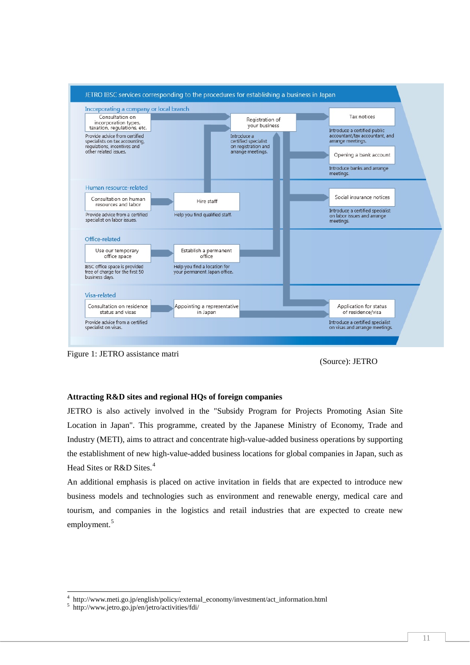

Figure 1: JETRO assistance matri

(Source): JETRO

### **Attracting R&D sites and regional HQs of foreign companies**

JETRO is also actively involved in the "Subsidy Program for Projects Promoting Asian Site Location in Japan". This programme, created by the Japanese Ministry of Economy, Trade and Industry (METI), aims to attract and concentrate high-value-added business operations by supporting the establishment of new high-value-added business locations for global companies in Japan, such as Head Sites or R&D Sites.<sup>[4](#page-10-0)</sup>

An additional emphasis is placed on active invitation in fields that are expected to introduce new business models and technologies such as environment and renewable energy, medical care and tourism, and companies in the logistics and retail industries that are expected to create new employment.<sup>[5](#page-10-1)</sup>

<u>.</u>

<span id="page-10-0"></span><sup>4</sup> http://www.meti.go.jp/english/policy/external\_economy/investment/act\_information.html 5

<span id="page-10-1"></span> $5$  http://www.jetro.go.jp/en/jetro/activities/fdi/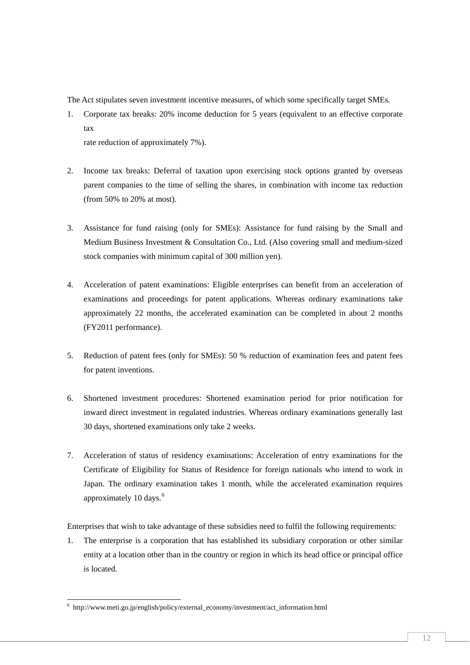The Act stipulates seven investment incentive measures, of which some specifically target SMEs.

1. Corporate tax breaks: 20% income deduction for 5 years (equivalent to an effective corporate tax

rate reduction of approximately 7%).

- 2. Income tax breaks: Deferral of taxation upon exercising stock options granted by overseas parent companies to the time of selling the shares, in combination with income tax reduction (from 50% to 20% at most).
- 3. Assistance for fund raising (only for SMEs): Assistance for fund raising by the Small and Medium Business Investment & Consultation Co., Ltd. (Also covering small and medium-sized stock companies with minimum capital of 300 million yen).
- 4. Acceleration of patent examinations: Eligible enterprises can benefit from an acceleration of examinations and proceedings for patent applications. Whereas ordinary examinations take approximately 22 months, the accelerated examination can be completed in about 2 months (FY2011 performance).
- 5. Reduction of patent fees (only for SMEs): 50 % reduction of examination fees and patent fees for patent inventions.
- 6. Shortened investment procedures: Shortened examination period for prior notification for inward direct investment in regulated industries. Whereas ordinary examinations generally last 30 days, shortened examinations only take 2 weeks.
- 7. Acceleration of status of residency examinations: Acceleration of entry examinations for the Certificate of Eligibility for Status of Residence for foreign nationals who intend to work in Japan. The ordinary examination takes 1 month, while the accelerated examination requires approximately 10 days.<sup>[6](#page-11-0)</sup>

Enterprises that wish to take advantage of these subsidies need to fulfil the following requirements:

1. The enterprise is a corporation that has established its subsidiary corporation or other similar entity at a location other than in the country or region in which its head office or principal office is located.

<span id="page-11-0"></span> 6 http://www.meti.go.jp/english/policy/external\_economy/investment/act\_information.html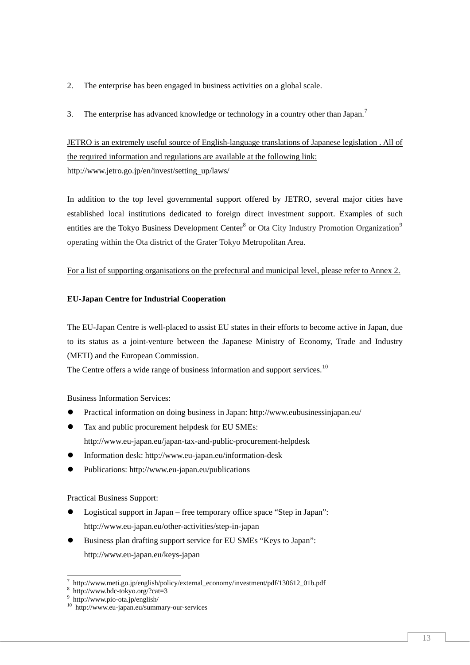- 2. The enterprise has been engaged in business activities on a global scale.
- 3. The enterprise has advanced knowledge or technology in a country other than Japan.<sup>[7](#page-12-0)</sup>

## JETRO is an extremely useful source of English-language translations of Japanese legislation . All of the required information and regulations are available at the following link: http://www.jetro.go.jp/en/invest/setting\_up/laws/

In addition to the top level governmental support offered by JETRO, several major cities have established local institutions dedicated to foreign direct investment support. Examples of such entities are the Tokyo Business Development Center<sup>[8](#page-12-1)</sup> or Ota City Industry Promotion Organization<sup>[9](#page-12-2)</sup> operating within the Ota district of the Grater Tokyo Metropolitan Area.

### For a list of supporting organisations on the prefectural and municipal level, please refer to Annex 2.

## **EU-Japan Centre for Industrial Cooperation**

The EU-Japan Centre is well-placed to assist EU states in their efforts to become active in Japan, due to its status as a joint-venture between the Japanese Ministry of Economy, Trade and Industry (METI) and the European Commission.

The Centre offers a wide range of business information and support services.<sup>[10](#page-12-3)</sup>

Business Information Services:

- z Practical information on doing business in Japan: http://www.eubusinessinjapan.eu/
- Tax and public procurement helpdesk for EU SMEs: http://www.eu-japan.eu/japan-tax-and-public-procurement-helpdesk
- Information desk: http://www.eu-japan.eu/information-desk
- Publications: http://www.eu-japan.eu/publications

Practical Business Support:

- Logistical support in Japan free temporary office space "Step in Japan": http://www.eu-japan.eu/other-activities/step-in-japan
- Business plan drafting support service for EU SMEs "Keys to Japan": http://www.eu-japan.eu/keys-japan

-

<span id="page-12-0"></span><sup>7</sup> http://www.meti.go.jp/english/policy/external\_economy/investment/pdf/130612\_01b.pdf 8

http://www.bdc-tokyo.org/?cat=3

<span id="page-12-2"></span><span id="page-12-1"></span><sup>9</sup> http://www.pio-ota.jp/english/

<span id="page-12-3"></span><sup>10</sup> http://www.eu-japan.eu/summary-our-services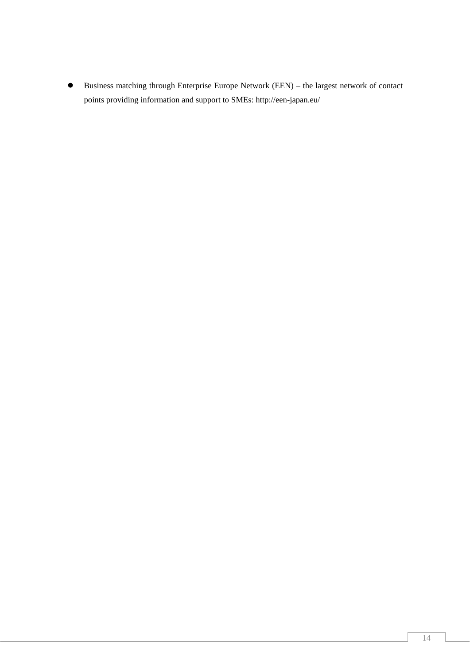z Business matching through Enterprise Europe Network (EEN) – the largest network of contact points providing information and support to SMEs: http://een-japan.eu/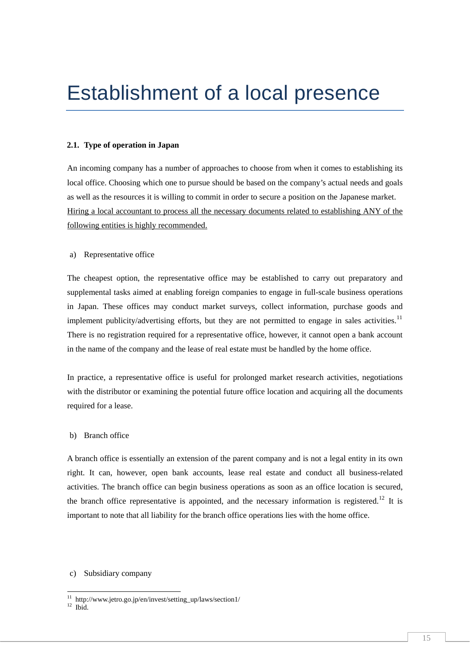# <span id="page-14-0"></span>Establishment of a local presence

#### **2.1. Type of operation in Japan**

An incoming company has a number of approaches to choose from when it comes to establishing its local office. Choosing which one to pursue should be based on the company's actual needs and goals as well as the resources it is willing to commit in order to secure a position on the Japanese market. Hiring a local accountant to process all the necessary documents related to establishing ANY of the following entities is highly recommended.

#### a) Representative office

The cheapest option, the representative office may be established to carry out preparatory and supplemental tasks aimed at enabling foreign companies to engage in full-scale business operations in Japan. These offices may conduct market surveys, collect information, purchase goods and implement publicity/advertising efforts, but they are not permitted to engage in sales activities.<sup>[11](#page-14-1)</sup> There is no registration required for a representative office, however, it cannot open a bank account in the name of the company and the lease of real estate must be handled by the home office.

In practice, a representative office is useful for prolonged market research activities, negotiations with the distributor or examining the potential future office location and acquiring all the documents required for a lease.

#### b) Branch office

A branch office is essentially an extension of the parent company and is not a legal entity in its own right. It can, however, open bank accounts, lease real estate and conduct all business-related activities. The branch office can begin business operations as soon as an office location is secured, the branch office representative is appointed, and the necessary information is registered.<sup>[12](#page-14-2)</sup> It is important to note that all liability for the branch office operations lies with the home office.

#### c) Subsidiary company

<u>.</u>

<span id="page-14-1"></span><sup>&</sup>lt;sup>11</sup> http://www.jetro.go.jp/en/invest/setting\_up/laws/section1/<br><sup>12</sup> Ibid.

<span id="page-14-2"></span>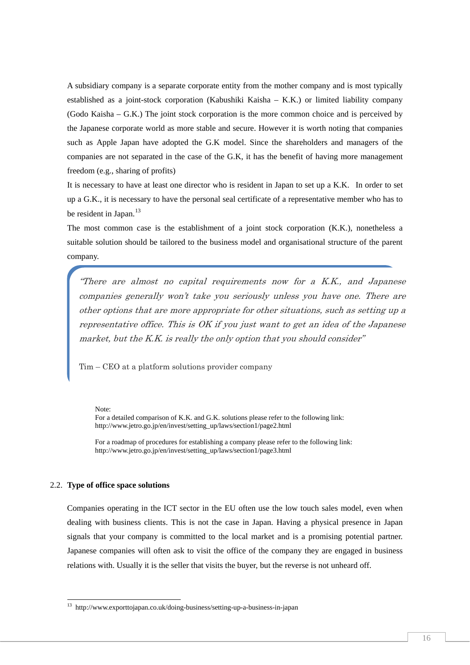<span id="page-15-0"></span>A subsidiary company is a separate corporate entity from the mother company and is most typically established as a joint-stock corporation (Kabushiki Kaisha – K.K.) or limited liability company (Godo Kaisha – G.K.) The joint stock corporation is the more common choice and is perceived by the Japanese corporate world as more stable and secure. However it is worth noting that companies such as Apple Japan have adopted the G.K model. Since the shareholders and managers of the companies are not separated in the case of the G.K, it has the benefit of having more management freedom (e.g., sharing of profits)

It is necessary to have at least one director who is resident in Japan to set up a K.K. In order to set up a G.K., it is necessary to have the personal seal certificate of a representative member who has to be resident in Japan. $^{13}$  $^{13}$  $^{13}$ 

The most common case is the establishment of a joint stock corporation (K.K.), nonetheless a suitable solution should be tailored to the business model and organisational structure of the parent company.

"There are almost no capital requirements now for a K.K., and Japanese companies generally won't take you seriously unless you have one. There are other options that are more appropriate for other situations, such as setting up a representative office. This is OK if you just want to get an idea of the Japanese market, but the K.K. is really the only option that you should consider"

Tim – CEO at a platform solutions provider company

#### Note:

For a detailed comparison of K.K. and G.K. solutions please refer to the following link: http://www.jetro.go.jp/en/invest/setting\_up/laws/section1/page2.html

For a roadmap of procedures for establishing a company please refer to the following link: http://www.jetro.go.jp/en/invest/setting\_up/laws/section1/page3.html

#### 2.2. **Type of office space solutions**

-

Companies operating in the ICT sector in the EU often use the low touch sales model, even when dealing with business clients. This is not the case in Japan. Having a physical presence in Japan signals that your company is committed to the local market and is a promising potential partner. Japanese companies will often ask to visit the office of the company they are engaged in business relations with. Usually it is the seller that visits the buyer, but the reverse is not unheard off.

<span id="page-15-1"></span><sup>&</sup>lt;sup>13</sup> http://www.exporttojapan.co.uk/doing-business/setting-up-a-business-in-japan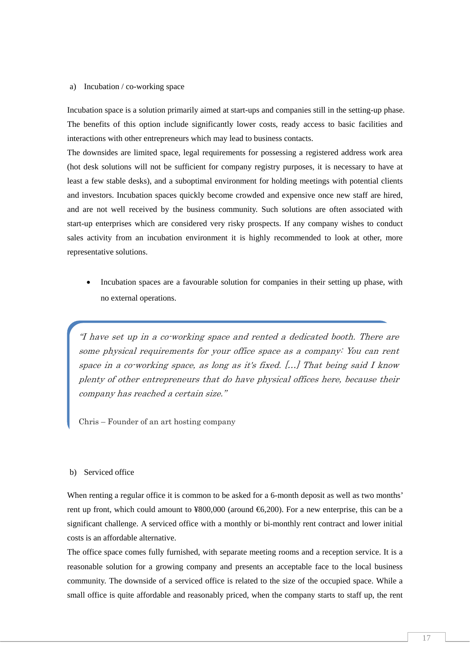#### a) Incubation / co-working space

Incubation space is a solution primarily aimed at start-ups and companies still in the setting-up phase. The benefits of this option include significantly lower costs, ready access to basic facilities and interactions with other entrepreneurs which may lead to business contacts.

The downsides are limited space, legal requirements for possessing a registered address work area (hot desk solutions will not be sufficient for company registry purposes, it is necessary to have at least a few stable desks), and a suboptimal environment for holding meetings with potential clients and investors. Incubation spaces quickly become crowded and expensive once new staff are hired, and are not well received by the business community. Such solutions are often associated with start-up enterprises which are considered very risky prospects. If any company wishes to conduct sales activity from an incubation environment it is highly recommended to look at other, more representative solutions.

• Incubation spaces are a favourable solution for companies in their setting up phase, with no external operations.

"I have set up in a co-working space and rented a dedicated booth. There are some physical requirements for your office space as a company: You can rent space in a co-working space, as long as it's fixed. […] That being said I know plenty of other entrepreneurs that do have physical offices here, because their company has reached a certain size."

Chris – Founder of an art hosting company

#### b) Serviced office

When renting a regular office it is common to be asked for a 6-month deposit as well as two months' rent up front, which could amount to ¥800,000 (around €6,200). For a new enterprise, this can be a significant challenge. A serviced office with a monthly or bi-monthly rent contract and lower initial costs is an affordable alternative.

The office space comes fully furnished, with separate meeting rooms and a reception service. It is a reasonable solution for a growing company and presents an acceptable face to the local business community. The downside of a serviced office is related to the size of the occupied space. While a small office is quite affordable and reasonably priced, when the company starts to staff up, the rent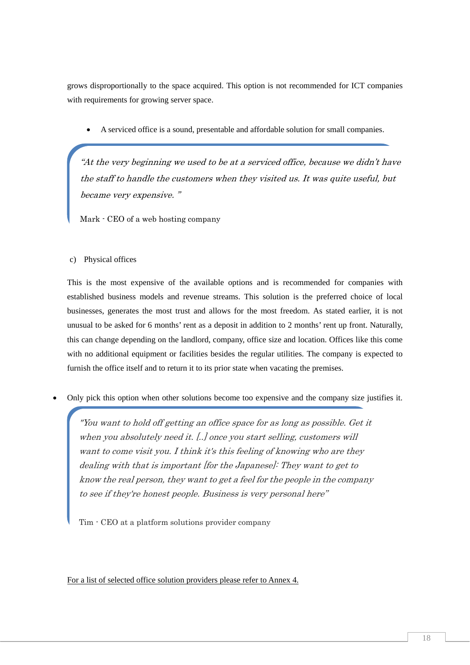grows disproportionally to the space acquired. This option is not recommended for ICT companies with requirements for growing server space.

• A serviced office is a sound, presentable and affordable solution for small companies.

"At the very beginning we used to be at a serviced office, because we didn't have the staff to handle the customers when they visited us. It was quite useful, but became very expensive. "

Mark - CEO of a web hosting company

## c) Physical offices

This is the most expensive of the available options and is recommended for companies with established business models and revenue streams. This solution is the preferred choice of local businesses, generates the most trust and allows for the most freedom. As stated earlier, it is not unusual to be asked for 6 months' rent as a deposit in addition to 2 months' rent up front. Naturally, this can change depending on the landlord, company, office size and location. Offices like this come with no additional equipment or facilities besides the regular utilities. The company is expected to furnish the office itself and to return it to its prior state when vacating the premises.

• Only pick this option when other solutions become too expensive and the company size justifies it.

"You want to hold off getting an office space for as long as possible. Get it when you absolutely need it. [..] once you start selling, customers will want to come visit you. I think it's this feeling of knowing who are they dealing with that is important [for the Japanese]: They want to get to know the real person, they want to get a feel for the people in the company to see if they're honest people. Business is very personal here"

Tim - CEO at a platform solutions provider company

For a list of selected office solution providers please refer to Annex 4.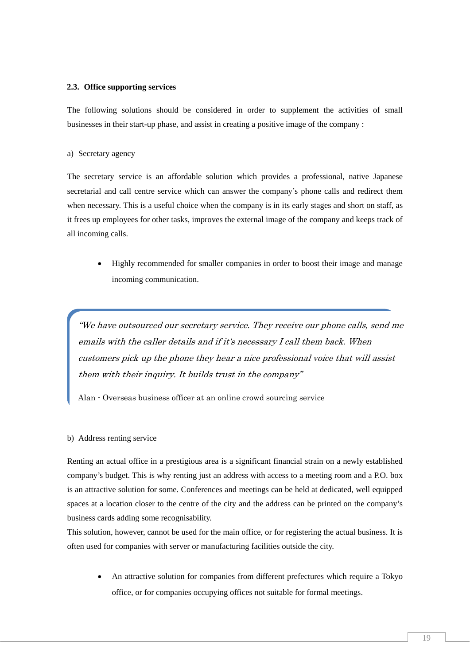#### <span id="page-18-0"></span>**2.3. Office supporting services**

The following solutions should be considered in order to supplement the activities of small businesses in their start-up phase, and assist in creating a positive image of the company :

#### a) Secretary agency

The secretary service is an affordable solution which provides a professional, native Japanese secretarial and call centre service which can answer the company's phone calls and redirect them when necessary. This is a useful choice when the company is in its early stages and short on staff, as it frees up employees for other tasks, improves the external image of the company and keeps track of all incoming calls.

• Highly recommended for smaller companies in order to boost their image and manage incoming communication.

"We have outsourced our secretary service. They receive our phone calls, send me emails with the caller details and if it's necessary I call them back. When customers pick up the phone they hear a nice professional voice that will assist them with their inquiry. It builds trust in the company"

Alan - Overseas business officer at an online crowd sourcing service

### b) Address renting service

Renting an actual office in a prestigious area is a significant financial strain on a newly established company's budget. This is why renting just an address with access to a meeting room and a P.O. box is an attractive solution for some. Conferences and meetings can be held at dedicated, well equipped spaces at a location closer to the centre of the city and the address can be printed on the company's business cards adding some recognisability.

This solution, however, cannot be used for the main office, or for registering the actual business. It is often used for companies with server or manufacturing facilities outside the city.

• An attractive solution for companies from different prefectures which require a Tokyo office, or for companies occupying offices not suitable for formal meetings.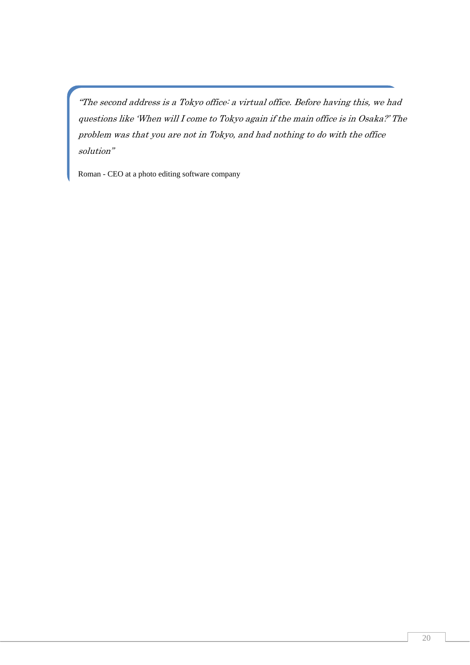"The second address is a Tokyo office: a virtual office. Before having this, we had questions like 'When will I come to Tokyo again if the main office is in Osaka?' The problem was that you are not in Tokyo, and had nothing to do with the office solution"

Roman - CEO at a photo editing software company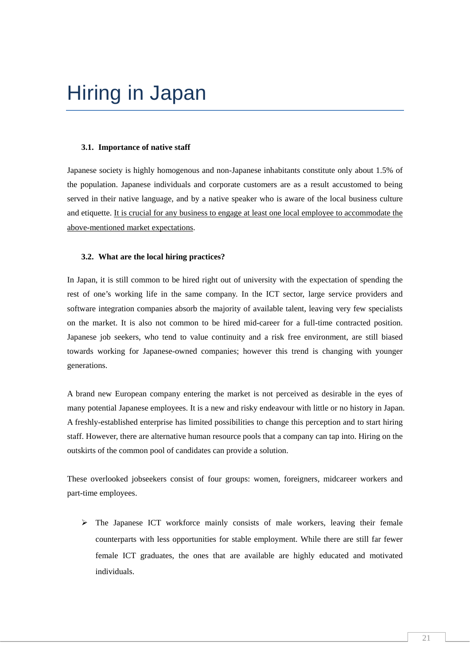# <span id="page-20-0"></span>Hiring in Japan

#### **3.1. Importance of native staff**

Japanese society is highly homogenous and non-Japanese inhabitants constitute only about 1.5% of the population. Japanese individuals and corporate customers are as a result accustomed to being served in their native language, and by a native speaker who is aware of the local business culture and etiquette. It is crucial for any business to engage at least one local employee to accommodate the above-mentioned market expectations.

#### **3.2. What are the local hiring practices?**

In Japan, it is still common to be hired right out of university with the expectation of spending the rest of one's working life in the same company. In the ICT sector, large service providers and software integration companies absorb the majority of available talent, leaving very few specialists on the market. It is also not common to be hired mid-career for a full-time contracted position. Japanese job seekers, who tend to value continuity and a risk free environment, are still biased towards working for Japanese-owned companies; however this trend is changing with younger generations.

A brand new European company entering the market is not perceived as desirable in the eyes of many potential Japanese employees. It is a new and risky endeavour with little or no history in Japan. A freshly-established enterprise has limited possibilities to change this perception and to start hiring staff. However, there are alternative human resource pools that a company can tap into. Hiring on the outskirts of the common pool of candidates can provide a solution.

These overlooked jobseekers consist of four groups: women, foreigners, midcareer workers and part-time employees.

 $\triangleright$  The Japanese ICT workforce mainly consists of male workers, leaving their female counterparts with less opportunities for stable employment. While there are still far fewer female ICT graduates, the ones that are available are highly educated and motivated individuals.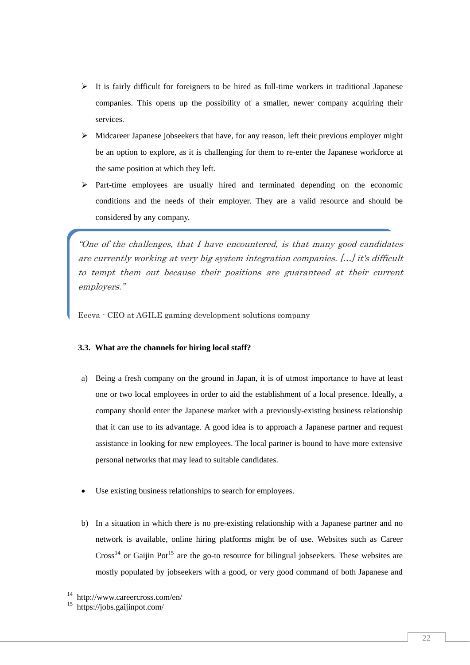- <span id="page-21-0"></span> $\triangleright$  It is fairly difficult for foreigners to be hired as full-time workers in traditional Japanese companies. This opens up the possibility of a smaller, newer company acquiring their services.
- $\triangleright$  Midcareer Japanese jobseekers that have, for any reason, left their previous employer might be an option to explore, as it is challenging for them to re-enter the Japanese workforce at the same position at which they left.
- $\triangleright$  Part-time employees are usually hired and terminated depending on the economic conditions and the needs of their employer. They are a valid resource and should be considered by any company.

"One of the challenges, that I have encountered, is that many good candidates are currently working at very big system integration companies. […] it's difficult to tempt them out because their positions are guaranteed at their current employers."

Eeeva - CEO at AGILE gaming development solutions company

## **3.3. What are the channels for hiring local staff?**

- a) Being a fresh company on the ground in Japan, it is of utmost importance to have at least one or two local employees in order to aid the establishment of a local presence. Ideally, a company should enter the Japanese market with a previously-existing business relationship that it can use to its advantage. A good idea is to approach a Japanese partner and request assistance in looking for new employees. The local partner is bound to have more extensive personal networks that may lead to suitable candidates.
- Use existing business relationships to search for employees.
- b) In a situation in which there is no pre-existing relationship with a Japanese partner and no network is available, online hiring platforms might be of use. Websites such as Career  $Cross<sup>14</sup>$  $Cross<sup>14</sup>$  $Cross<sup>14</sup>$  or Gaijin Pot<sup>[15](#page-21-2)</sup> are the go-to resource for bilingual jobseekers. These websites are mostly populated by jobseekers with a good, or very good command of both Japanese and

<u>.</u>

<span id="page-21-1"></span><sup>14</sup> http://www.careercross.com/en/

<span id="page-21-2"></span><sup>15</sup> https://jobs.gaijinpot.com/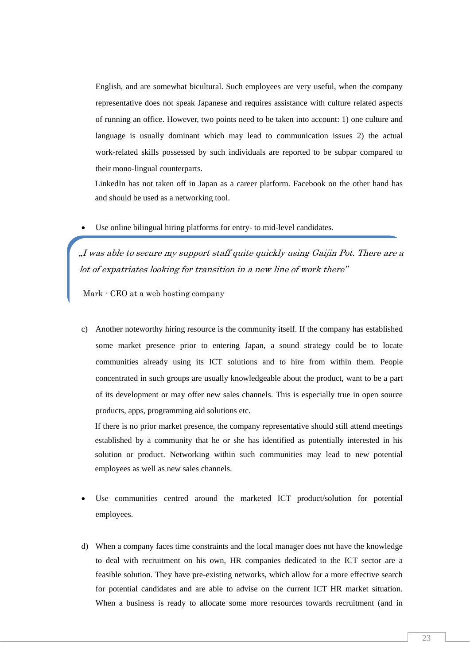English, and are somewhat bicultural. Such employees are very useful, when the company representative does not speak Japanese and requires assistance with culture related aspects of running an office. However, two points need to be taken into account: 1) one culture and language is usually dominant which may lead to communication issues 2) the actual work-related skills possessed by such individuals are reported to be subpar compared to their mono-lingual counterparts.

LinkedIn has not taken off in Japan as a career platform. Facebook on the other hand has and should be used as a networking tool.

• Use online bilingual hiring platforms for entry- to mid-level candidates.

"I was able to secure my support staff quite quickly using Gaijin Pot. There are a lot of expatriates looking for transition in a new line of work there"

Mark - CEO at a web hosting company

c) Another noteworthy hiring resource is the community itself. If the company has established some market presence prior to entering Japan, a sound strategy could be to locate communities already using its ICT solutions and to hire from within them. People concentrated in such groups are usually knowledgeable about the product, want to be a part of its development or may offer new sales channels. This is especially true in open source products, apps, programming aid solutions etc.

If there is no prior market presence, the company representative should still attend meetings established by a community that he or she has identified as potentially interested in his solution or product. Networking within such communities may lead to new potential employees as well as new sales channels.

- Use communities centred around the marketed ICT product/solution for potential employees.
- d) When a company faces time constraints and the local manager does not have the knowledge to deal with recruitment on his own, HR companies dedicated to the ICT sector are a feasible solution. They have pre-existing networks, which allow for a more effective search for potential candidates and are able to advise on the current ICT HR market situation. When a business is ready to allocate some more resources towards recruitment (and in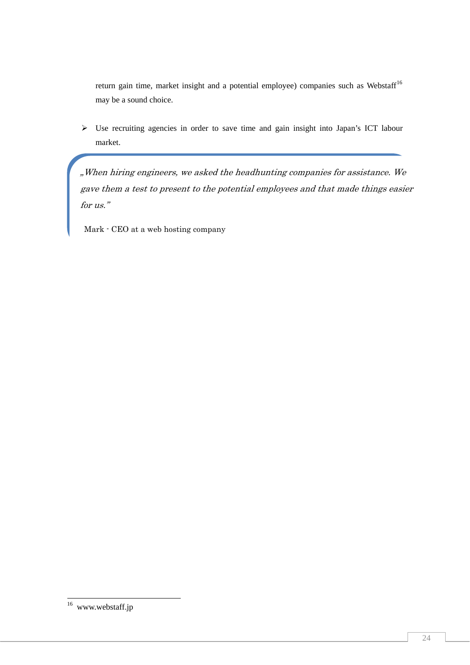return gain time, market insight and a potential employee) companies such as Webstaff<sup>16</sup> may be a sound choice.

 $\triangleright$  Use recruiting agencies in order to save time and gain insight into Japan's ICT labour market.

"When hiring engineers, we asked the headhunting companies for assistance. We gave them a test to present to the potential employees and that made things easier for us."

Mark - CEO at a web hosting company

<u>.</u>

<sup>&</sup>lt;sup>16</sup> www.webstaff.jp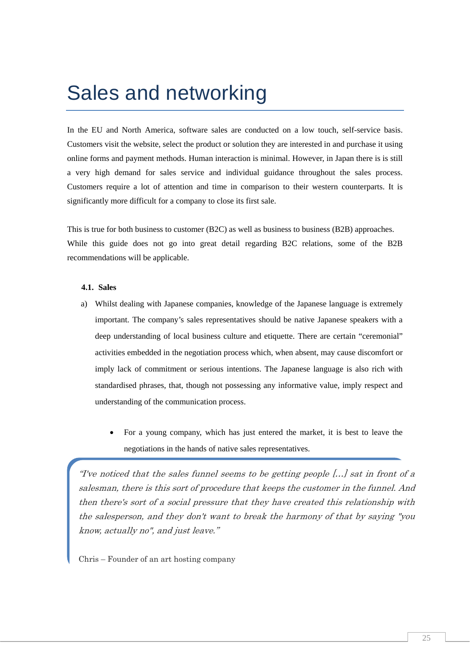# <span id="page-24-0"></span>Sales and networking

In the EU and North America, software sales are conducted on a low touch, self-service basis. Customers visit the website, select the product or solution they are interested in and purchase it using online forms and payment methods. Human interaction is minimal. However, in Japan there is is still a very high demand for sales service and individual guidance throughout the sales process. Customers require a lot of attention and time in comparison to their western counterparts. It is significantly more difficult for a company to close its first sale.

This is true for both business to customer (B2C) as well as business to business (B2B) approaches. While this guide does not go into great detail regarding B2C relations, some of the B2B recommendations will be applicable.

#### **4.1. Sales**

- a) Whilst dealing with Japanese companies, knowledge of the Japanese language is extremely important. The company's sales representatives should be native Japanese speakers with a deep understanding of local business culture and etiquette. There are certain "ceremonial" activities embedded in the negotiation process which, when absent, may cause discomfort or imply lack of commitment or serious intentions. The Japanese language is also rich with standardised phrases, that, though not possessing any informative value, imply respect and understanding of the communication process.
	- For a young company, which has just entered the market, it is best to leave the negotiations in the hands of native sales representatives.

"I've noticed that the sales funnel seems to be getting people […] sat in front of a salesman, there is this sort of procedure that keeps the customer in the funnel. And then there's sort of a social pressure that they have created this relationship with the salesperson, and they don't want to break the harmony of that by saying "you know, actually no", and just leave."

Chris – Founder of an art hosting company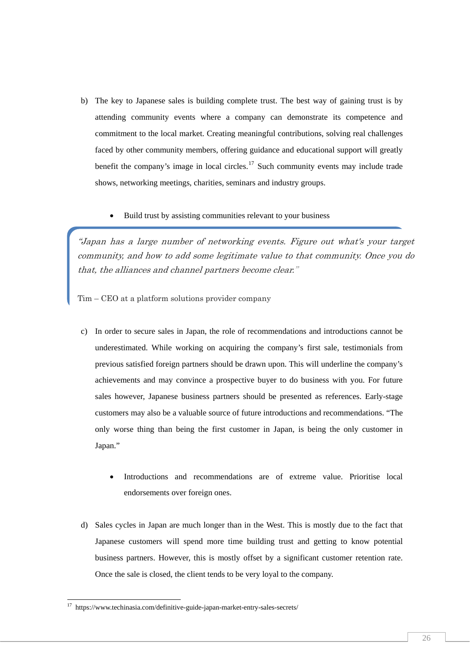- b) The key to Japanese sales is building complete trust. The best way of gaining trust is by attending community events where a company can demonstrate its competence and commitment to the local market. Creating meaningful contributions, solving real challenges faced by other community members, offering guidance and educational support will greatly benefit the company's image in local circles.<sup>[17](#page-25-0)</sup> Such community events may include trade shows, networking meetings, charities, seminars and industry groups.
	- Build trust by assisting communities relevant to your business

"Japan has a large number of networking events. Figure out what's your target community, and how to add some legitimate value to that community. Once you do that, the alliances and channel partners become clear."

Tim – CEO at a platform solutions provider company

- c) In order to secure sales in Japan, the role of recommendations and introductions cannot be underestimated. While working on acquiring the company's first sale, testimonials from previous satisfied foreign partners should be drawn upon. This will underline the company's achievements and may convince a prospective buyer to do business with you. For future sales however, Japanese business partners should be presented as references. Early-stage customers may also be a valuable source of future introductions and recommendations. "The only worse thing than being the first customer in Japan, is being the only customer in Japan."
	- Introductions and recommendations are of extreme value. Prioritise local endorsements over foreign ones.
- d) Sales cycles in Japan are much longer than in the West. This is mostly due to the fact that Japanese customers will spend more time building trust and getting to know potential business partners. However, this is mostly offset by a significant customer retention rate. Once the sale is closed, the client tends to be very loyal to the company.

-

<span id="page-25-0"></span> $17$  https://www.techinasia.com/definitive-guide-japan-market-entry-sales-secrets/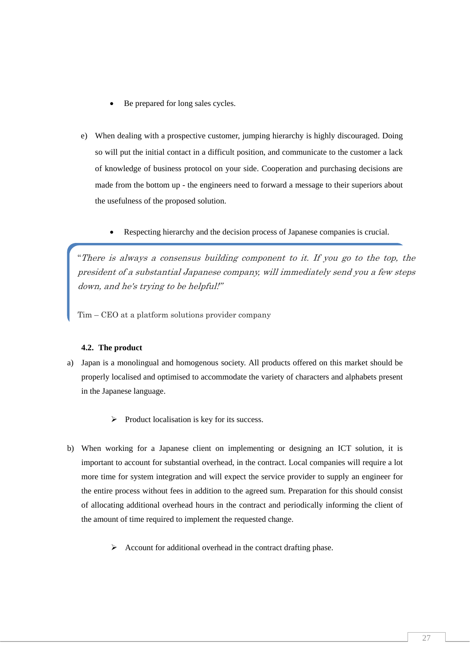- <span id="page-26-0"></span>• Be prepared for long sales cycles.
- e) When dealing with a prospective customer, jumping hierarchy is highly discouraged. Doing so will put the initial contact in a difficult position, and communicate to the customer a lack of knowledge of business protocol on your side. Cooperation and purchasing decisions are made from the bottom up - the engineers need to forward a message to their superiors about the usefulness of the proposed solution.
	- Respecting hierarchy and the decision process of Japanese companies is crucial.

"There is always a consensus building component to it. If you go to the top, the president of a substantial Japanese company, will immediately send you a few steps down, and he's trying to be helpful!"

Tim – CEO at a platform solutions provider company

### **4.2. The product**

- a) Japan is a monolingual and homogenous society. All products offered on this market should be properly localised and optimised to accommodate the variety of characters and alphabets present in the Japanese language.
	- $\triangleright$  Product localisation is key for its success.
- b) When working for a Japanese client on implementing or designing an ICT solution, it is important to account for substantial overhead, in the contract. Local companies will require a lot more time for system integration and will expect the service provider to supply an engineer for the entire process without fees in addition to the agreed sum. Preparation for this should consist of allocating additional overhead hours in the contract and periodically informing the client of the amount of time required to implement the requested change.
	- $\triangleright$  Account for additional overhead in the contract drafting phase.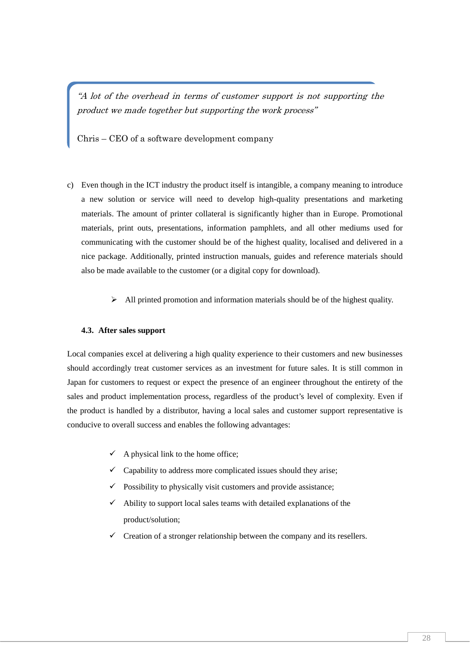<span id="page-27-0"></span>"A lot of the overhead in terms of customer support is not supporting the product we made together but supporting the work process"

Chris – CEO of a software development company

- c) Even though in the ICT industry the product itself is intangible, a company meaning to introduce a new solution or service will need to develop high-quality presentations and marketing materials. The amount of printer collateral is significantly higher than in Europe. Promotional materials, print outs, presentations, information pamphlets, and all other mediums used for communicating with the customer should be of the highest quality, localised and delivered in a nice package. Additionally, printed instruction manuals, guides and reference materials should also be made available to the customer (or a digital copy for download).
	- $\triangleright$  All printed promotion and information materials should be of the highest quality.

#### **4.3. After sales support**

Local companies excel at delivering a high quality experience to their customers and new businesses should accordingly treat customer services as an investment for future sales. It is still common in Japan for customers to request or expect the presence of an engineer throughout the entirety of the sales and product implementation process, regardless of the product's level of complexity. Even if the product is handled by a distributor, having a local sales and customer support representative is conducive to overall success and enables the following advantages:

- $\checkmark$  A physical link to the home office;
- $\checkmark$  Capability to address more complicated issues should they arise;
- $\checkmark$  Possibility to physically visit customers and provide assistance;
- $\checkmark$  Ability to support local sales teams with detailed explanations of the product/solution;
- $\checkmark$  Creation of a stronger relationship between the company and its resellers.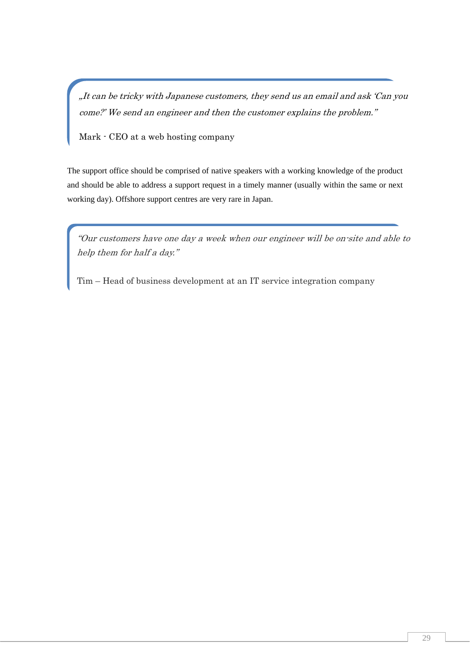"It can be tricky with Japanese customers, they send us an email and ask 'Can you come?' We send an engineer and then the customer explains the problem."

Mark - CEO at a web hosting company

The support office should be comprised of native speakers with a working knowledge of the product and should be able to address a support request in a timely manner (usually within the same or next working day). Offshore support centres are very rare in Japan.

"Our customers have one day a week when our engineer will be on-site and able to help them for half a day."

Tim – Head of business development at an IT service integration company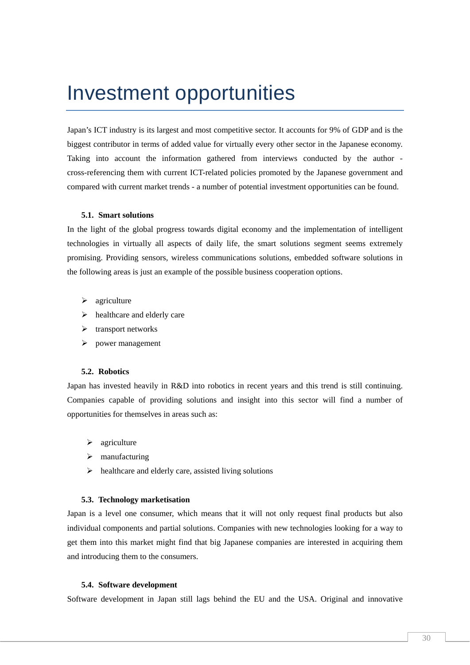## <span id="page-29-0"></span>Investment opportunities

Japan's ICT industry is its largest and most competitive sector. It accounts for 9% of GDP and is the biggest contributor in terms of added value for virtually every other sector in the Japanese economy. Taking into account the information gathered from interviews conducted by the author cross-referencing them with current ICT-related policies promoted by the Japanese government and compared with current market trends - a number of potential investment opportunities can be found.

#### **5.1. Smart solutions**

In the light of the global progress towards digital economy and the implementation of intelligent technologies in virtually all aspects of daily life, the smart solutions segment seems extremely promising. Providing sensors, wireless communications solutions, embedded software solutions in the following areas is just an example of the possible business cooperation options.

- $\triangleright$  agriculture
- $\blacktriangleright$  healthcare and elderly care
- $\triangleright$  transport networks
- $\triangleright$  power management

#### **5.2. Robotics**

Japan has invested heavily in R&D into robotics in recent years and this trend is still continuing. Companies capable of providing solutions and insight into this sector will find a number of opportunities for themselves in areas such as:

- $\triangleright$  agriculture
- $\triangleright$  manufacturing
- $\triangleright$  healthcare and elderly care, assisted living solutions

#### **5.3. Technology marketisation**

Japan is a level one consumer, which means that it will not only request final products but also individual components and partial solutions. Companies with new technologies looking for a way to get them into this market might find that big Japanese companies are interested in acquiring them and introducing them to the consumers.

#### **5.4. Software development**

Software development in Japan still lags behind the EU and the USA. Original and innovative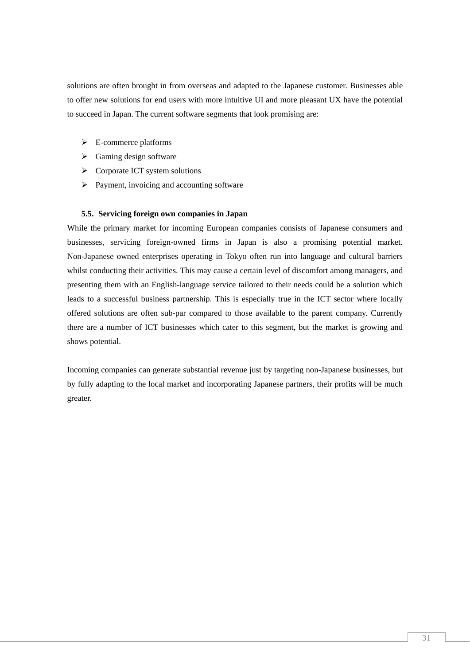<span id="page-30-0"></span>solutions are often brought in from overseas and adapted to the Japanese customer. Businesses able to offer new solutions for end users with more intuitive UI and more pleasant UX have the potential to succeed in Japan. The current software segments that look promising are:

- $\triangleright$  E-commerce platforms
- $\triangleright$  Gaming design software
- $\triangleright$  Corporate ICT system solutions
- $\triangleright$  Payment, invoicing and accounting software

### **5.5. Servicing foreign own companies in Japan**

While the primary market for incoming European companies consists of Japanese consumers and businesses, servicing foreign-owned firms in Japan is also a promising potential market. Non-Japanese owned enterprises operating in Tokyo often run into language and cultural barriers whilst conducting their activities. This may cause a certain level of discomfort among managers, and presenting them with an English-language service tailored to their needs could be a solution which leads to a successful business partnership. This is especially true in the ICT sector where locally offered solutions are often sub-par compared to those available to the parent company. Currently there are a number of ICT businesses which cater to this segment, but the market is growing and shows potential.

Incoming companies can generate substantial revenue just by targeting non-Japanese businesses, but by fully adapting to the local market and incorporating Japanese partners, their profits will be much greater.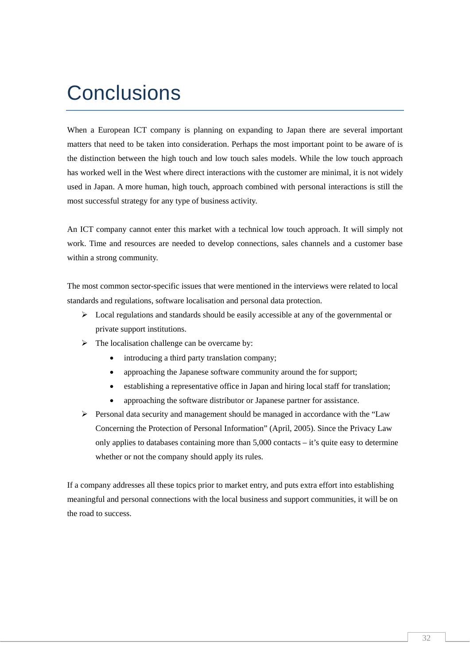# <span id="page-31-0"></span>**Conclusions**

When a European ICT company is planning on expanding to Japan there are several important matters that need to be taken into consideration. Perhaps the most important point to be aware of is the distinction between the high touch and low touch sales models. While the low touch approach has worked well in the West where direct interactions with the customer are minimal, it is not widely used in Japan. A more human, high touch, approach combined with personal interactions is still the most successful strategy for any type of business activity.

An ICT company cannot enter this market with a technical low touch approach. It will simply not work. Time and resources are needed to develop connections, sales channels and a customer base within a strong community.

The most common sector-specific issues that were mentioned in the interviews were related to local standards and regulations, software localisation and personal data protection.

- $\triangleright$  Local regulations and standards should be easily accessible at any of the governmental or private support institutions.
- $\triangleright$  The localisation challenge can be overcame by:
	- introducing a third party translation company;
	- approaching the Japanese software community around the for support;
	- establishing a representative office in Japan and hiring local staff for translation;
	- approaching the software distributor or Japanese partner for assistance.
- ¾ Personal data security and management should be managed in accordance with the "Law Concerning the Protection of Personal Information" (April, 2005). Since the Privacy Law only applies to databases containing more than 5,000 contacts – it's quite easy to determine whether or not the company should apply its rules.

If a company addresses all these topics prior to market entry, and puts extra effort into establishing meaningful and personal connections with the local business and support communities, it will be on the road to success.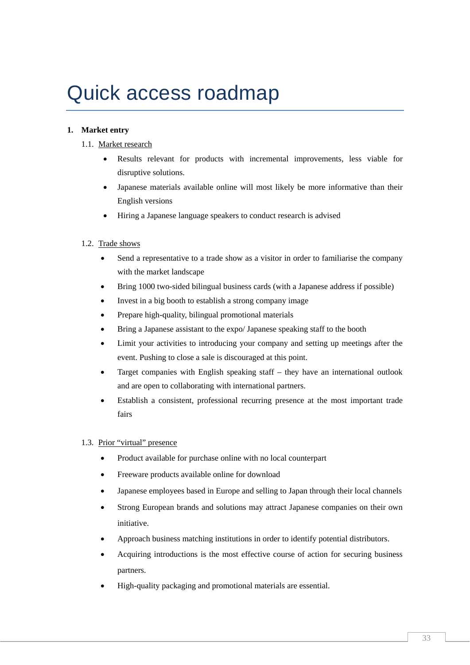# <span id="page-32-0"></span>Quick access roadmap

## **1. Market entry**

- 1.1. Market research
	- Results relevant for products with incremental improvements, less viable for disruptive solutions.
	- Japanese materials available online will most likely be more informative than their English versions
	- Hiring a Japanese language speakers to conduct research is advised

## 1.2. Trade shows

- Send a representative to a trade show as a visitor in order to familiarise the company with the market landscape
- Bring 1000 two-sided bilingual business cards (with a Japanese address if possible)
- Invest in a big booth to establish a strong company image
- Prepare high-quality, bilingual promotional materials
- Bring a Japanese assistant to the expo/ Japanese speaking staff to the booth
- Limit your activities to introducing your company and setting up meetings after the event. Pushing to close a sale is discouraged at this point.
- Target companies with English speaking staff they have an international outlook and are open to collaborating with international partners.
- Establish a consistent, professional recurring presence at the most important trade fairs

## 1.3. Prior "virtual" presence

- Product available for purchase online with no local counterpart
- Freeware products available online for download
- Japanese employees based in Europe and selling to Japan through their local channels
- Strong European brands and solutions may attract Japanese companies on their own initiative.
- Approach business matching institutions in order to identify potential distributors.
- Acquiring introductions is the most effective course of action for securing business partners.
- High-quality packaging and promotional materials are essential.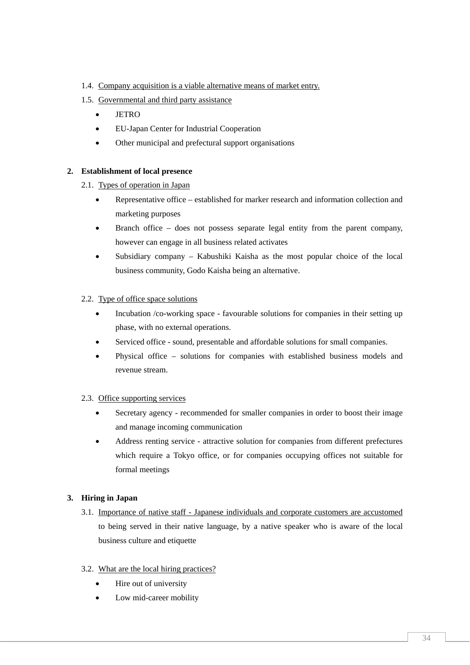- 1.4. Company acquisition is a viable alternative means of market entry.
- 1.5. Governmental and third party assistance
	- JETRO
	- EU-Japan Center for Industrial Cooperation
	- Other municipal and prefectural support organisations

## **2. Establishment of local presence**

- 2.1. Types of operation in Japan
	- Representative office established for marker research and information collection and marketing purposes
	- Branch office does not possess separate legal entity from the parent company, however can engage in all business related activates
	- Subsidiary company Kabushiki Kaisha as the most popular choice of the local business community, Godo Kaisha being an alternative.

## 2.2. Type of office space solutions

- Incubation /co-working space favourable solutions for companies in their setting up phase, with no external operations.
- Serviced office sound, presentable and affordable solutions for small companies.
- Physical office solutions for companies with established business models and revenue stream.

## 2.3. Office supporting services

- Secretary agency recommended for smaller companies in order to boost their image and manage incoming communication
- Address renting service attractive solution for companies from different prefectures which require a Tokyo office, or for companies occupying offices not suitable for formal meetings

## **3. Hiring in Japan**

3.1. Importance of native staff - Japanese individuals and corporate customers are accustomed to being served in their native language, by a native speaker who is aware of the local business culture and etiquette

### 3.2. What are the local hiring practices?

- Hire out of university
- Low mid-career mobility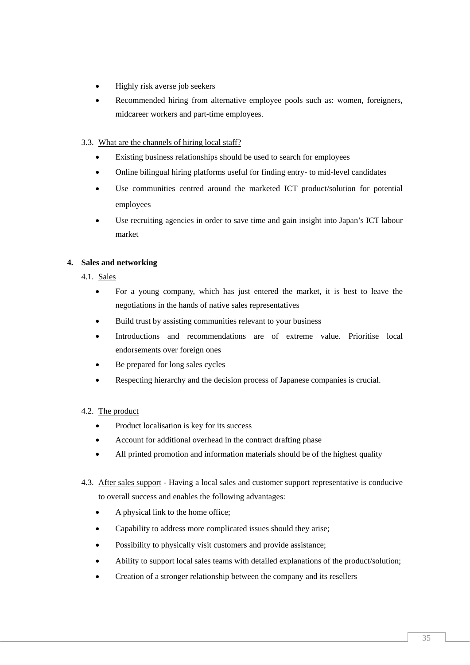- Highly risk averse job seekers
- Recommended hiring from alternative employee pools such as: women, foreigners, midcareer workers and part-time employees.

## 3.3. What are the channels of hiring local staff?

- Existing business relationships should be used to search for employees
- Online bilingual hiring platforms useful for finding entry- to mid-level candidates
- Use communities centred around the marketed ICT product/solution for potential employees
- Use recruiting agencies in order to save time and gain insight into Japan's ICT labour market

## **4. Sales and networking**

## 4.1. Sales

- For a young company, which has just entered the market, it is best to leave the negotiations in the hands of native sales representatives
- Build trust by assisting communities relevant to your business
- Introductions and recommendations are of extreme value. Prioritise local endorsements over foreign ones
- Be prepared for long sales cycles
- Respecting hierarchy and the decision process of Japanese companies is crucial.

## 4.2. The product

- Product localisation is key for its success
- Account for additional overhead in the contract drafting phase
- All printed promotion and information materials should be of the highest quality
- 4.3. After sales support Having a local sales and customer support representative is conducive to overall success and enables the following advantages:
	- A physical link to the home office;
	- Capability to address more complicated issues should they arise;
	- Possibility to physically visit customers and provide assistance;
	- Ability to support local sales teams with detailed explanations of the product/solution;
	- Creation of a stronger relationship between the company and its resellers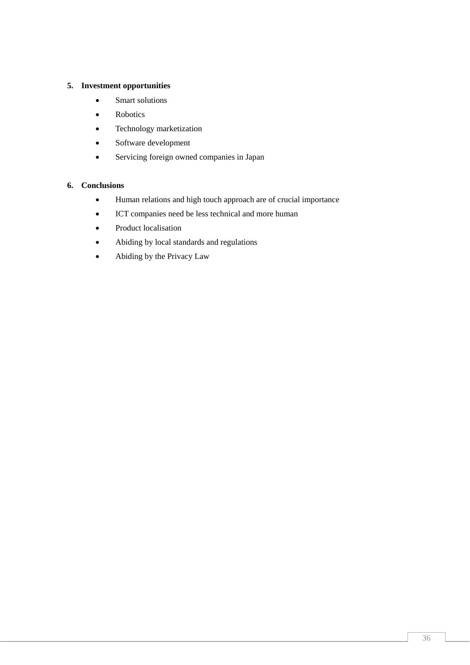## **5. Investment opportunities**

- Smart solutions
- **Robotics**
- Technology marketization
- Software development
- Servicing foreign owned companies in Japan

## **6. Conclusions**

- Human relations and high touch approach are of crucial importance
- ICT companies need be less technical and more human
- Product localisation
- Abiding by local standards and regulations
- Abiding by the Privacy Law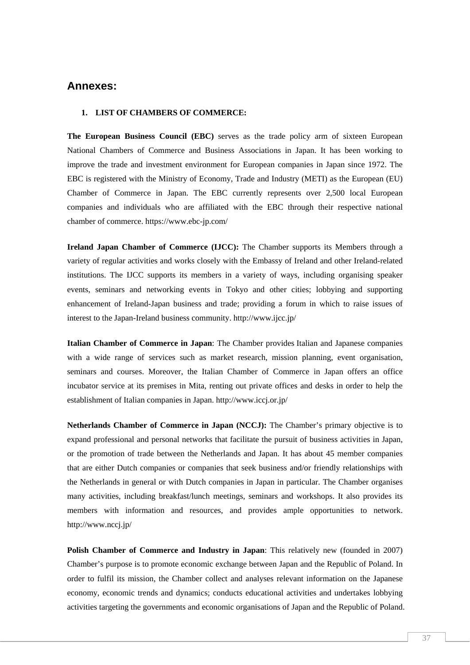## <span id="page-36-0"></span>**Annexes:**

#### **1. LIST OF CHAMBERS OF COMMERCE:**

**The European Business Council (EBC)** serves as the trade policy arm of sixteen European National Chambers of Commerce and Business Associations in Japan. It has been working to improve the trade and investment environment for European companies in Japan since 1972. The EBC is registered with the Ministry of Economy, Trade and Industry (METI) as the European (EU) Chamber of Commerce in Japan. The EBC currently represents over 2,500 local European companies and individuals who are affiliated with the EBC through their respective national chamber of commerce. https://www.ebc-jp.com/

**Ireland Japan Chamber of Commerce (IJCC):** The Chamber supports its Members through a variety of regular activities and works closely with the Embassy of Ireland and other Ireland-related institutions. The IJCC supports its members in a variety of ways, including organising speaker events, seminars and networking events in Tokyo and other cities; lobbying and supporting enhancement of Ireland-Japan business and trade; providing a forum in which to raise issues of interest to the Japan-Ireland business community. http://www.ijcc.jp/

**Italian Chamber of Commerce in Japan**: The Chamber provides Italian and Japanese companies with a wide range of services such as market research, mission planning, event organisation, seminars and courses. Moreover, the Italian Chamber of Commerce in Japan offers an office incubator service at its premises in Mita, renting out private offices and desks in order to help the establishment of Italian companies in Japan. http://www.iccj.or.jp/

**Netherlands Chamber of Commerce in Japan (NCCJ):** The Chamber's primary objective is to expand professional and personal networks that facilitate the pursuit of business activities in Japan, or the promotion of trade between the Netherlands and Japan. It has about 45 member companies that are either Dutch companies or companies that seek business and/or friendly relationships with the Netherlands in general or with Dutch companies in Japan in particular. The Chamber organises many activities, including breakfast/lunch meetings, seminars and workshops. It also provides its members with information and resources, and provides ample opportunities to network. http://www.nccj.jp/

**Polish Chamber of Commerce and Industry in Japan**: This relatively new (founded in 2007) Chamber's purpose is to promote economic exchange between Japan and the Republic of Poland. In order to fulfil its mission, the Chamber collect and analyses relevant information on the Japanese economy, economic trends and dynamics; conducts educational activities and undertakes lobbying activities targeting the governments and economic organisations of Japan and the Republic of Poland.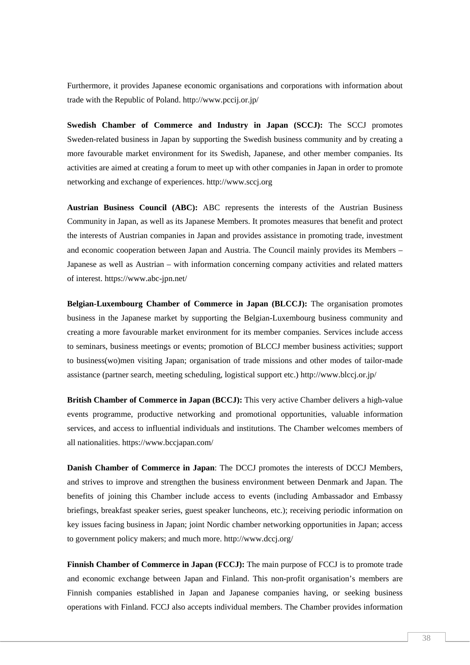Furthermore, it provides Japanese economic organisations and corporations with information about trade with the Republic of Poland. http://www.pccij.or.jp/

**Swedish Chamber of Commerce and Industry in Japan (SCCJ):** The SCCJ promotes Sweden-related business in Japan by supporting the Swedish business community and by creating a more favourable market environment for its Swedish, Japanese, and other member companies. Its activities are aimed at creating a forum to meet up with other companies in Japan in order to promote networking and exchange of experiences. http://www.sccj.org

**Austrian Business Council (ABC):** ABC represents the interests of the Austrian Business Community in Japan, as well as its Japanese Members. It promotes measures that benefit and protect the interests of Austrian companies in Japan and provides assistance in promoting trade, investment and economic cooperation between Japan and Austria. The Council mainly provides its Members – Japanese as well as Austrian – with information concerning company activities and related matters of interest. https://www.abc-jpn.net/

**Belgian-Luxembourg Chamber of Commerce in Japan (BLCCJ):** The organisation promotes business in the Japanese market by supporting the Belgian-Luxembourg business community and creating a more favourable market environment for its member companies. Services include access to seminars, business meetings or events; promotion of BLCCJ member business activities; support to business(wo)men visiting Japan; organisation of trade missions and other modes of tailor-made assistance (partner search, meeting scheduling, logistical support etc.) http://www.blccj.or.jp/

**British Chamber of Commerce in Japan (BCCJ):** This very active Chamber delivers a high-value events programme, productive networking and promotional opportunities, valuable information services, and access to influential individuals and institutions. The Chamber welcomes members of all nationalities. https://www.bccjapan.com/

**Danish Chamber of Commerce in Japan**: The DCCJ promotes the interests of DCCJ Members, and strives to improve and strengthen the business environment between Denmark and Japan. The benefits of joining this Chamber include access to events (including Ambassador and Embassy briefings, breakfast speaker series, guest speaker luncheons, etc.); receiving periodic information on key issues facing business in Japan; joint Nordic chamber networking opportunities in Japan; access to government policy makers; and much more. http://www.dccj.org/

**Finnish Chamber of Commerce in Japan (FCCJ):** The main purpose of FCCJ is to promote trade and economic exchange between Japan and Finland. This non-profit organisation's members are Finnish companies established in Japan and Japanese companies having, or seeking business operations with Finland. FCCJ also accepts individual members. The Chamber provides information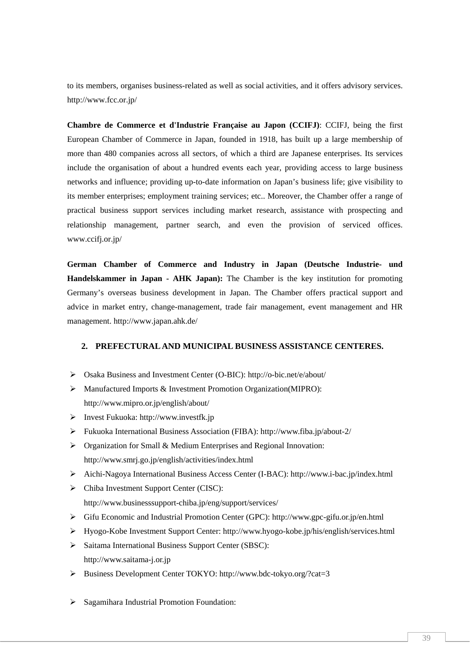to its members, organises business-related as well as social activities, and it offers advisory services. http://www.fcc.or.jp/

**Chambre de Commerce et d'Industrie Française au Japon (CCIFJ)**: CCIFJ, being the first European Chamber of Commerce in Japan, founded in 1918, has built up a large membership of more than 480 companies across all sectors, of which a third are Japanese enterprises. Its services include the organisation of about a hundred events each year, providing access to large business networks and influence; providing up-to-date information on Japan's business life; give visibility to its member enterprises; employment training services; etc.. Moreover, the Chamber offer a range of practical business support services including market research, assistance with prospecting and relationship management, partner search, and even the provision of serviced offices. www.ccifj.or.jp/

**German Chamber of Commerce and Industry in Japan (Deutsche Industrie- und Handelskammer in Japan - AHK Japan):** The Chamber is the key institution for promoting Germany's overseas business development in Japan. The Chamber offers practical support and advice in market entry, change-management, trade fair management, event management and HR management. http://www.japan.ahk.de/

#### **2. PREFECTURAL AND MUNICIPAL BUSINESS ASSISTANCE CENTERES.**

- ¾ Osaka Business and Investment Center (O-BIC): http://o-bic.net/e/about/
- ¾ Manufactured Imports & Investment Promotion Organization(MIPRO): http://www.mipro.or.jp/english/about/
- $\triangleright$  Invest Fukuoka: http://www.investfk.jp
- ¾ Fukuoka International Business Association (FIBA): http://www.fiba.jp/about-2/
- $\triangleright$  Organization for Small & Medium Enterprises and Regional Innovation: http://www.smrj.go.jp/english/activities/index.html
- ¾ Aichi-Nagoya International Business Access Center (I-BAC): http://www.i-bac.jp/index.html
- $\triangleright$  Chiba Investment Support Center (CISC): http://www.businesssupport-chiba.jp/eng/support/services/
- ¾ Gifu Economic and Industrial Promotion Center (GPC): http://www.gpc-gifu.or.jp/en.html
- ¾ Hyogo-Kobe Investment Support Center: http://www.hyogo-kobe.jp/his/english/services.html
- ¾ Saitama International Business Support Center (SBSC): http://www.saitama-j.or.jp
- ¾ Business Development Center TOKYO: http://www.bdc-tokyo.org/?cat=3
- $\triangleright$  Sagamihara Industrial Promotion Foundation: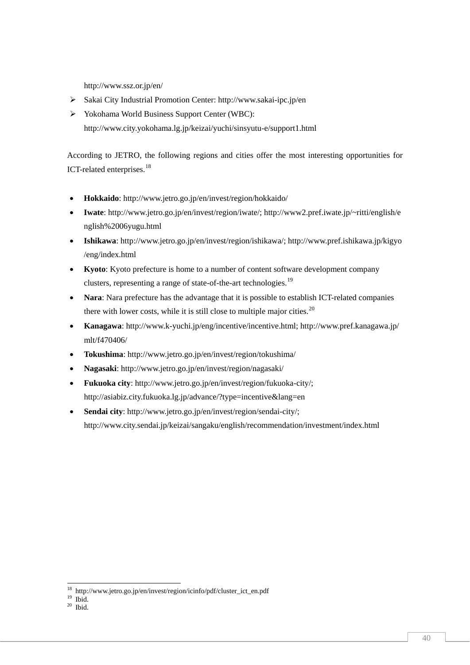http://www.ssz.or.jp/en/

- ¾ Sakai City Industrial Promotion Center: http://www.sakai-ipc.jp/en
- ¾ Yokohama World Business Support Center (WBC): http://www.city.yokohama.lg.jp/keizai/yuchi/sinsyutu-e/support1.html

According to JETRO, the following regions and cities offer the most interesting opportunities for ICT-related enterprises.<sup>[18](#page-39-0)</sup>

- **Hokkaido**:<http://www.jetro.go.jp/en/invest/region/hokkaido/>
- **Iwate**:<http://www.jetro.go.jp/en/invest/region/iwate/>; [http://www2.pref.iwate.jp/~ritti/english/e](http://www2.pref.iwate.jp/%7Eritti/english/english%2006yugu.html) [nglish%2006yugu.html](http://www2.pref.iwate.jp/%7Eritti/english/english%2006yugu.html)
- **Ishikawa**: <http://www.jetro.go.jp/en/invest/region/ishikawa/>; [http://www.pref.ishikawa.jp/kigyo](http://www.pref.ishikawa.jp/kigyo/eng/index.html) [/eng/index.html](http://www.pref.ishikawa.jp/kigyo/eng/index.html)
- **Kyoto**: Kyoto prefecture is home to a number of content software development company clusters, representing a range of state-of-the-art technologies.[19](#page-39-1)
- **Nara**: Nara prefecture has the advantage that it is possible to establish ICT-related companies there with lower costs, while it is still close to multiple major cities.<sup>[20](#page-39-2)</sup>
- **Kanagawa**: <http://www.k-yuchi.jp/eng/incentive/incentive.html>; [http://www.pref.kanagawa.jp/](http://www.pref.kanagawa.jp/mlt/f470406/) [mlt/f470406/](http://www.pref.kanagawa.jp/mlt/f470406/)
- **Tokushima**: <http://www.jetro.go.jp/en/invest/region/tokushima/>
- **Nagasaki**:<http://www.jetro.go.jp/en/invest/region/nagasaki/>
- **Fukuoka city**:<http://www.jetro.go.jp/en/invest/region/fukuoka-city/>; http://asiabiz.city.fukuoka.lg.jp/advance/?type=incentive&lang=en
- **Sendai city**: [http://www.jetro.go.jp/en/invest/region/sendai-city/;](http://www.jetro.go.jp/en/invest/region/sendai-city/) http://www.city.sendai.jp/keizai/sangaku/english/recommendation/investment/index.html

<u>.</u>

<sup>18</sup> http://www.jetro.go.jp/en/invest/region/icinfo/pdf/cluster\_ict\_en.pdf

<span id="page-39-0"></span> $19$  Ibid.

<span id="page-39-2"></span><span id="page-39-1"></span> $20$  Ibid.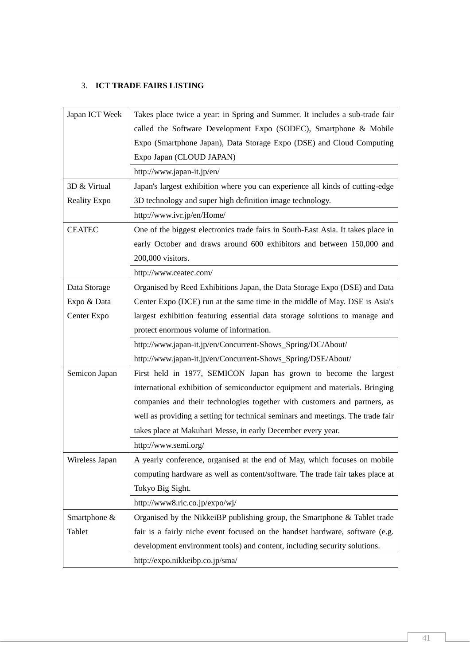## 3. **ICT TRADE FAIRS LISTING**

| Japan ICT Week      | Takes place twice a year: in Spring and Summer. It includes a sub-trade fair     |  |  |
|---------------------|----------------------------------------------------------------------------------|--|--|
|                     | called the Software Development Expo (SODEC), Smartphone & Mobile                |  |  |
|                     | Expo (Smartphone Japan), Data Storage Expo (DSE) and Cloud Computing             |  |  |
|                     | Expo Japan (CLOUD JAPAN)                                                         |  |  |
|                     | http://www.japan-it.jp/en/                                                       |  |  |
| 3D & Virtual        | Japan's largest exhibition where you can experience all kinds of cutting-edge    |  |  |
| <b>Reality Expo</b> | 3D technology and super high definition image technology.                        |  |  |
|                     | http://www.ivr.jp/en/Home/                                                       |  |  |
| <b>CEATEC</b>       | One of the biggest electronics trade fairs in South-East Asia. It takes place in |  |  |
|                     | early October and draws around 600 exhibitors and between 150,000 and            |  |  |
|                     | 200,000 visitors.                                                                |  |  |
|                     | http://www.ceatec.com/                                                           |  |  |
| Data Storage        | Organised by Reed Exhibitions Japan, the Data Storage Expo (DSE) and Data        |  |  |
| Expo & Data         | Center Expo (DCE) run at the same time in the middle of May. DSE is Asia's       |  |  |
| Center Expo         | largest exhibition featuring essential data storage solutions to manage and      |  |  |
|                     | protect enormous volume of information.                                          |  |  |
|                     |                                                                                  |  |  |
|                     | http://www.japan-it.jp/en/Concurrent-Shows_Spring/DC/About/                      |  |  |
|                     | http://www.japan-it.jp/en/Concurrent-Shows_Spring/DSE/About/                     |  |  |
| Semicon Japan       | First held in 1977, SEMICON Japan has grown to become the largest                |  |  |
|                     | international exhibition of semiconductor equipment and materials. Bringing      |  |  |
|                     | companies and their technologies together with customers and partners, as        |  |  |
|                     | well as providing a setting for technical seminars and meetings. The trade fair  |  |  |
|                     | takes place at Makuhari Messe, in early December every year.                     |  |  |
|                     | http://www.semi.org/                                                             |  |  |
| Wireless Japan      | A yearly conference, organised at the end of May, which focuses on mobile        |  |  |
|                     | computing hardware as well as content/software. The trade fair takes place at    |  |  |
|                     | Tokyo Big Sight.                                                                 |  |  |
|                     | http://www8.ric.co.jp/expo/wj/                                                   |  |  |
| Smartphone &        | Organised by the NikkeiBP publishing group, the Smartphone & Tablet trade        |  |  |
| Tablet              | fair is a fairly niche event focused on the handset hardware, software (e.g.     |  |  |
|                     | development environment tools) and content, including security solutions.        |  |  |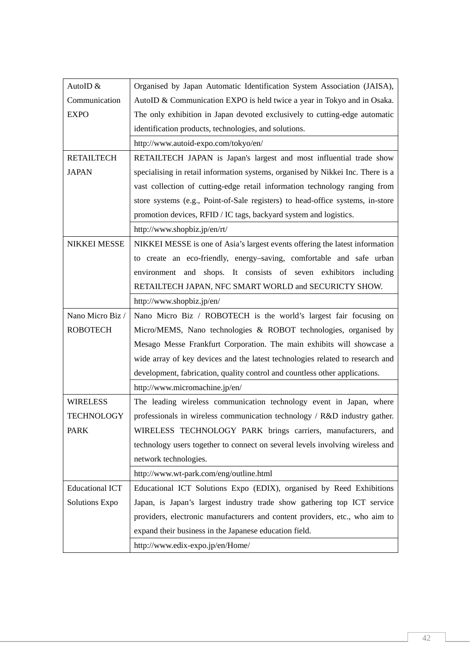| AutoID &                                                                                            | Organised by Japan Automatic Identification System Association (JAISA),         |  |  |
|-----------------------------------------------------------------------------------------------------|---------------------------------------------------------------------------------|--|--|
| Communication                                                                                       | AutoID & Communication EXPO is held twice a year in Tokyo and in Osaka.         |  |  |
| <b>EXPO</b>                                                                                         | The only exhibition in Japan devoted exclusively to cutting-edge automatic      |  |  |
|                                                                                                     | identification products, technologies, and solutions.                           |  |  |
|                                                                                                     | http://www.autoid-expo.com/tokyo/en/                                            |  |  |
| <b>RETAILTECH</b>                                                                                   | RETAILTECH JAPAN is Japan's largest and most influential trade show             |  |  |
| <b>JAPAN</b>                                                                                        | specialising in retail information systems, organised by Nikkei Inc. There is a |  |  |
|                                                                                                     | vast collection of cutting-edge retail information technology ranging from      |  |  |
|                                                                                                     | store systems (e.g., Point-of-Sale registers) to head-office systems, in-store  |  |  |
|                                                                                                     | promotion devices, RFID / IC tags, backyard system and logistics.               |  |  |
|                                                                                                     | http://www.shopbiz.jp/en/rt/                                                    |  |  |
| <b>NIKKEI MESSE</b><br>NIKKEI MESSE is one of Asia's largest events offering the latest information |                                                                                 |  |  |
|                                                                                                     | to create an eco-friendly, energy-saving, comfortable and safe urban            |  |  |
|                                                                                                     | environment and shops. It consists of seven exhibitors including                |  |  |
|                                                                                                     | RETAILTECH JAPAN, NFC SMART WORLD and SECURICTY SHOW.                           |  |  |
|                                                                                                     | http://www.shopbiz.jp/en/                                                       |  |  |
| Nano Micro Biz /                                                                                    | Nano Micro Biz / ROBOTECH is the world's largest fair focusing on               |  |  |
| <b>ROBOTECH</b>                                                                                     | Micro/MEMS, Nano technologies & ROBOT technologies, organised by                |  |  |
| Mesago Messe Frankfurt Corporation. The main exhibits will showcase a                               |                                                                                 |  |  |
|                                                                                                     | wide array of key devices and the latest technologies related to research and   |  |  |
|                                                                                                     | development, fabrication, quality control and countless other applications.     |  |  |
|                                                                                                     | http://www.micromachine.jp/en/                                                  |  |  |
| <b>WIRELESS</b>                                                                                     | The leading wireless communication technology event in Japan, where             |  |  |
| <b>TECHNOLOGY</b>                                                                                   | professionals in wireless communication technology / R&D industry gather.       |  |  |
| <b>PARK</b>                                                                                         | WIRELESS TECHNOLOGY PARK brings carriers, manufacturers, and                    |  |  |
|                                                                                                     | technology users together to connect on several levels involving wireless and   |  |  |
|                                                                                                     | network technologies.                                                           |  |  |
|                                                                                                     | http://www.wt-park.com/eng/outline.html                                         |  |  |
| <b>Educational ICT</b>                                                                              | Educational ICT Solutions Expo (EDIX), organised by Reed Exhibitions            |  |  |
| <b>Solutions Expo</b>                                                                               | Japan, is Japan's largest industry trade show gathering top ICT service         |  |  |
|                                                                                                     | providers, electronic manufacturers and content providers, etc., who aim to     |  |  |
|                                                                                                     | expand their business in the Japanese education field.                          |  |  |
|                                                                                                     | http://www.edix-expo.jp/en/Home/                                                |  |  |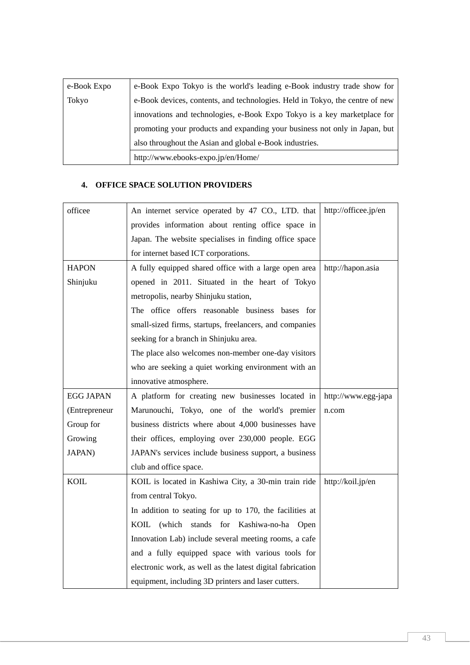| e-Book Expo | e-Book Expo Tokyo is the world's leading e-Book industry trade show for      |
|-------------|------------------------------------------------------------------------------|
| Tokyo       | e-Book devices, contents, and technologies. Held in Tokyo, the centre of new |
|             | innovations and technologies, e-Book Expo Tokyo is a key marketplace for     |
|             | promoting your products and expanding your business not only in Japan, but   |
|             | also throughout the Asian and global e-Book industries.                      |
|             | http://www.ebooks-expo.jp/en/Home/                                           |

## **4. OFFICE SPACE SOLUTION PROVIDERS**

| officee          | An internet service operated by 47 CO., LTD. that          | http://officee.jp/en |
|------------------|------------------------------------------------------------|----------------------|
|                  | provides information about renting office space in         |                      |
|                  | Japan. The website specialises in finding office space     |                      |
|                  | for internet based ICT corporations.                       |                      |
| <b>HAPON</b>     | A fully equipped shared office with a large open area      | http://hapon.asia    |
| Shinjuku         | opened in 2011. Situated in the heart of Tokyo             |                      |
|                  | metropolis, nearby Shinjuku station,                       |                      |
|                  | The office offers reasonable business bases for            |                      |
|                  | small-sized firms, startups, freelancers, and companies    |                      |
|                  | seeking for a branch in Shinjuku area.                     |                      |
|                  | The place also welcomes non-member one-day visitors        |                      |
|                  | who are seeking a quiet working environment with an        |                      |
|                  | innovative atmosphere.                                     |                      |
| <b>EGG JAPAN</b> | A platform for creating new businesses located in          | http://www.egg-japa  |
| (Entrepreneur    | Marunouchi, Tokyo, one of the world's premier              | n.com                |
| Group for        | business districts where about 4,000 businesses have       |                      |
| Growing          | their offices, employing over 230,000 people. EGG          |                      |
| JAPAN)           | JAPAN's services include business support, a business      |                      |
|                  | club and office space.                                     |                      |
| <b>KOIL</b>      | KOIL is located in Kashiwa City, a 30-min train ride       | http://koil.jp/en    |
|                  | from central Tokyo.                                        |                      |
|                  | In addition to seating for up to 170, the facilities at    |                      |
|                  | KOIL (which stands for Kashiwa-no-ha Open                  |                      |
|                  | Innovation Lab) include several meeting rooms, a cafe      |                      |
|                  | and a fully equipped space with various tools for          |                      |
|                  | electronic work, as well as the latest digital fabrication |                      |
|                  | equipment, including 3D printers and laser cutters.        |                      |